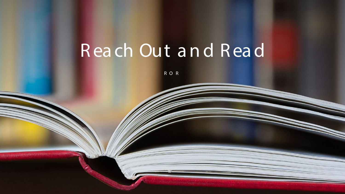# Reach Out and Read

ROR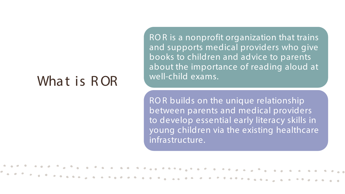#### What is ROR

RO R is a nonprofit organization that trains and supports medical providers who give books to children and advice to parents about the importance of reading aloud at well-child exams.

RO R builds on the unique relationship between parents and medical providers to develop essential early literacy skills in young children via the existing healthcare infrastructure.

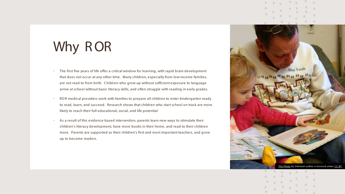# Why ROR

- The first five years of life offer a critical window for learning, with rapid brain development that does not occur at any other time. Many children, especially from low-income families, are not read to from birth. C hildren who grow up without sufficient exposure to language arrive at school without basic literacy skills, and often struggle with reading in early grades.
- RO R medical providers work with families to prepare all children to enter kindergarten ready to read, learn, and succeed. Research shows that children who start school on track are more likely to reach their full educational, social, and life potential.
- As a result of this evidence-based intervention, parents learn new ways to stimulate their children's literacy development, have more books in their home, and read to their children more. Parents are supported as their children's first and most important teachers, and grow up to become readers.

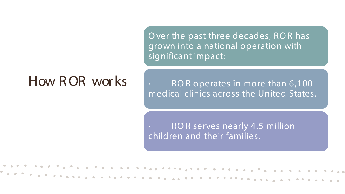How R OR wor ks

O ver the past three decades, RO R has grown into a national operation with significant impact:

ROR operates in more than 6,100 medical clinics across the United States.

ROR serves nearly 4.5 million children and their families.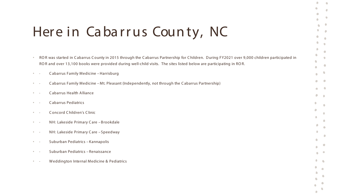## Here in Cabarrus County, NC

|                                         | ROR was started in Cabarrus County in 2015 through the Cabarrus Partnership for Children. During FY2021 over 9,000 children participated in<br>ROR and over 13,100 books were provided during well-child visits. The sites listed below are participating in ROR. |
|-----------------------------------------|-------------------------------------------------------------------------------------------------------------------------------------------------------------------------------------------------------------------------------------------------------------------|
|                                         | Cabarrus Family Medicine - Harrisburg                                                                                                                                                                                                                             |
| $\bullet$ .<br><br>.<br><br>.           | Cabarrus Family Medicine - Mt. Pleasant (Independently, not through the Cabarrus Partnership)                                                                                                                                                                     |
|                                         | Cabarrus Health Alliance                                                                                                                                                                                                                                          |
| $\bullet$ $\bullet$                     | <b>Cabarrus Pediatrics</b>                                                                                                                                                                                                                                        |
|                                         | <b>Concord Children's Clinic</b>                                                                                                                                                                                                                                  |
| $\Phi_{\rm{max}}$ .                     | NH: Lakeside Primary Care - Brookdale                                                                                                                                                                                                                             |
| $\Phi_{\rm{max}}$ .                     | NH: Lakeside Primary Care - Speedway                                                                                                                                                                                                                              |
| $\bullet$ .<br><br>.<br><br>.           | Suburban Pediatrics - Kannapolis                                                                                                                                                                                                                                  |
| $\mathbf{e} = \mathbf{e}$               | Suburban Pediatrics - Renaissance                                                                                                                                                                                                                                 |
| $\Phi_{\rm{max}}$ , $\Delta_{\rm{max}}$ | Weddington Internal Medicine & Pediatrics                                                                                                                                                                                                                         |
|                                         |                                                                                                                                                                                                                                                                   |
|                                         |                                                                                                                                                                                                                                                                   |

 $\bullet$ 

 $\bullet$ 

 $\bullet$ 

 $\bullet$ 

 $\bullet$ 

 $\bullet$ 

 $\bullet$  $\bullet$ 

 $\bullet$ 

 $\bullet$ 

 $\bullet$ 

 $\bullet$ 

 $\bullet$ 

 $\bullet$ 

 $\triangle$ 

 $\bullet$  $\bullet$ 

 $\bullet$  $\bullet$ 

 $\mathbf{r}$ 

 $\bullet$ 

 $\bullet$ 

 $\bullet$ 

 $\bullet$ 

 $\bullet$ 

 $\bullet$ 

 $\bigcirc$ 

 $\bullet$ 

 $\bullet$ 

 $\bullet$ 

 $\bullet$ 

 $\bullet$ 

 $\bullet$ 

 $\bullet$ 

 $\bullet$ 

 $\bullet$  $\bullet$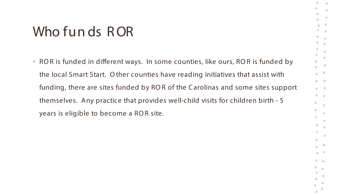### Who fun ds ROR

• RO R is funded in different ways. In some counties, like ours, RO R is funded by the local Smart Start. O ther counties have reading initiatives that assist with funding, there are sites funded by RO R of the C arolinas and some sites support themselves. Any practice that provides well-child visits for children birth - 5 years is eligible to become a RO R site.

 $\sqrt{2}$